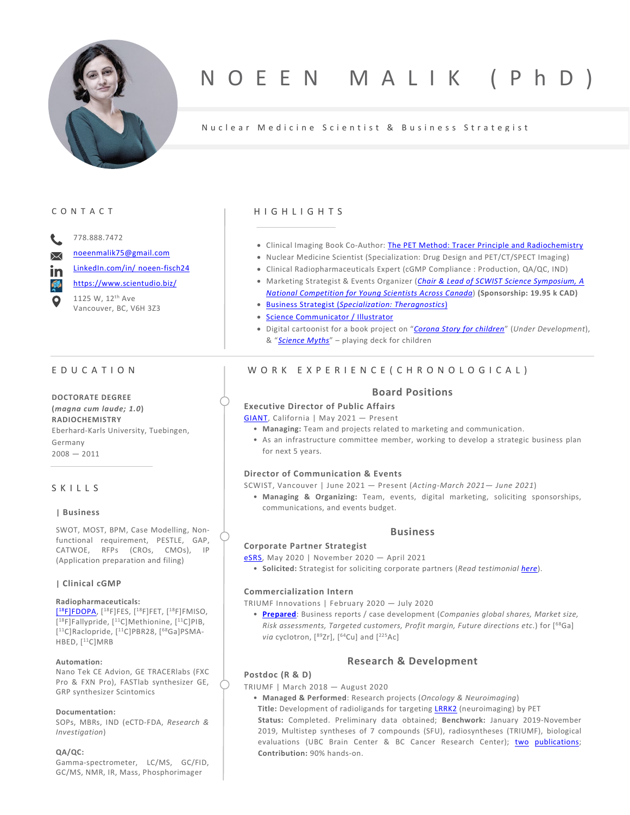

# NOEEN MALIK (Ph

# Nuclear Medicine Scientist & Business Strategist

# CONTACT

778.888.7472

[noeenmalik75@gmail.com](mailto:noeenmalik75@gmail.com)

[LinkedIn.com/in/](https://www.linkedin.com/in/noeen-fisch24) noeen-fisch24

<https://www.scientudio.biz/> 1125 W, 12th Ave Vancouver, BC, V6H 3Z3

# EDUCATION

**DOCTORATE DEGREE (***magna cum laude; 1.0***) RADIOCHEMISTRY** Eberhard-Karls University, Tuebingen, Germany  $2008 - 2011$ 

# SKILLS

#### **| Business**

SWOT, MOST, BPM, Case Modelling, Nonfunctional requirement, PESTLE, GAP, CATWOE, RFPs (CROs, CMOs), IP (Application preparation and filing)

#### **| Clinical cGMP**

## **Radiopharmaceuticals:**

[\[18F\]FDOPA,](https://documentcloud.adobe.com/link/review?uri=urn:aaid:scds:US:207dbec6-cc12-4604-b016-697ac6eb9ec3) [18F]FES, [18F]FET, [18F]FMISO, [18F]Fallypride, [11C]Methionine, [11C]PIB, [11C]Raclopride, [11C]PBR28, [68Ga]PSMA-HBED, [<sup>11</sup>C]MRB

#### **Automation:**

Nano Tek CE Advion, GE TRACERlabs (FXC Pro & FXN Pro), FASTlab synthesizer GE, GRP synthesizer Scintomics

#### **Documentation:**

SOPs, MBRs, IND (eCTD-FDA, *Research & Investigation*)

#### **QA/QC:**

Gamma-spectrometer, LC/MS, GC/FID, GC/MS, NMR, IR, Mass, Phosphorimager

## **HIGHLIGHTS**

- Clinical Imaging Book Co-Author: [The PET Method: Tracer Principle and Radiochemistry](https://www.steinbeis-edition.de/Wissenschaft-Technik/Medizin-Forschung/The-PET-Method-stw.html)
- Nuclear Medicine Scientist (Specialization: Drug Design and PET/CT/SPECT Imaging)
- Clinical Radiopharmaceuticals Expert (cGMP Compliance : Production, QA/QC, IND)
- Marketing Strategist & Events Organizer (*Chair & [Lead of SCWIST Science Symposium, A](https://scwist.ca/forms/young-scientists-on-board/)  [National Competition for Young Scientists Across Canada](https://scwist.ca/forms/young-scientists-on-board/)*) **(Sponsorship: 19.95 k CAD)**
- Business Strategist (*[Specialization: Theragnostics](https://278cf60e-5948-4a76-934c-1b0b0e488d7d.filesusr.com/ugd/04d4e2_73de0cb84c744078ac9d6b5ac97a5b82.pdf)*)
- [Science Communicator / Illustrator](https://www.scientudio.biz/testimonials)
- Digital cartoonist for a book project on "*[Corona Story for children](https://www.scientudio.biz/testimonials)*" (*Under Development*), & "*[Science Myths](https://www.scientudio.biz/product-page/science-myths)*" – playing deck for children

# WORK EXPERIENCE (CHRONOLOGICAL)

### **Board Positions**

# **Executive Director of Public Affairs**

[GIANT,](https://www.giant-int.org/) California | May 2021 — Present

- **Managing:** Team and projects related to marketing and communication.
- As an infrastructure committee member, working to develop a strategic business plan for next 5 years.

#### **Director of Communication & Events**

SCWIST, Vancouver | June 2021 — Present (*Acting-March 2021— June 2021*)

• **Managing & Organizing:** Team, events, digital marketing, soliciting sponsorships, communications, and events budget.

## **Business**

#### **Corporate Partner Strategist**

[eSRS,](https://www.srsweb.org/esrs2021-home) May 2020 | November 2020 — April 2021

• **Solicited:** Strategist for soliciting corporate partners (*Read testimonia[l here](https://www.linkedin.com/in/noeen-fisch24/)*).

#### **Commercialization Intern**

TRIUMF Innovations | February 2020 — July 2020

• **[Prepared](https://278cf60e-5948-4a76-934c-1b0b0e488d7d.filesusr.com/ugd/04d4e2_73de0cb84c744078ac9d6b5ac97a5b82.pdf)**: Business reports / case development (*Companies global shares, Market size, Risk assessments, Targeted customers, Profit margin, Future directions etc*.) for [68Ga] via cyclotron, [<sup>89</sup>Zr], [<sup>64</sup>Cu] and [<sup>225</sup>Ac]

# **Research & Development**

#### **Postdoc (R & D)**

TRIUMF | March 2018 — August 2020

- **Managed & Performed**: Research projects (*Oncology & Neuroimaging*)
- **Title:** Development of radioligands for targetin[g LRRK2](https://www.scientudio.biz/post/new-target-in-oncology-lrrk2) (neuroimaging) by PET **Status:** Completed. Preliminary data obtained; **Benchwork:** January 2019-November 2019, Multistep syntheses of 7 compounds (SFU), radiosyntheses (TRIUMF), biological evaluations (UBC Brain Center & BC Cancer Research Center); [two](https://www.sciencedirect.com/science/article/abs/pii/S0223523420309776) [publications;](https://www.mdpi.com/1420-3049/25/20/4710) **Contribution:** 90% hands-on.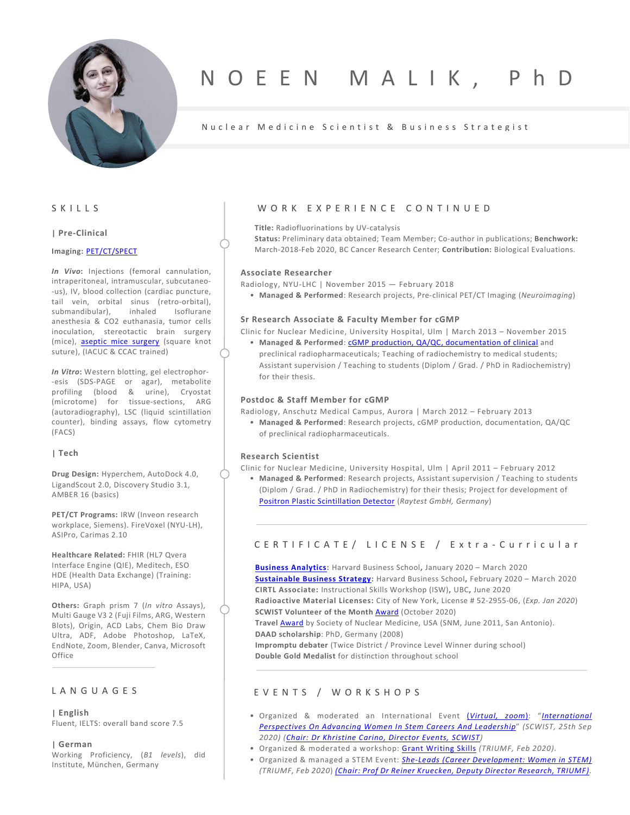

# NOEEN MALIK, Ph

# Nuclear Medicine Scientist & Business Strategist

SKILLS

### **| Pre-Clinical**

#### **Imaging:** [PET/CT/SPECT](https://www.ias.ac.in/article/fulltext/jbsc/044/04/0093)

*In Vivo***:** Injections (femoral cannulation, intraperitoneal, intramuscular, subcutaneo- -us), IV, blood collection (cardiac puncture, tail vein, orbital sinus (retro-orbital), submandibular), inhaled Isoflurane anesthesia & CO2 euthanasia, tumor cells inoculation, stereotactic brain surgery (mice), [aseptic mice surgery](https://documentcloud.adobe.com/link/review?uri=urn:aaid:scds:US:54aecedf-370e-4ca1-9a6b-60d5fccab9b0) (square knot suture), (IACUC & CCAC trained)

*In Vitro***:** Western blotting, gel electrophor- -esis (SDS-PAGE or agar), metabolite profiling (blood & urine), Cryostat (microtome) for tissue-sections, ARG (autoradiography), LSC (liquid scintillation counter), binding assays, flow cytometry (FACS)

#### **| Tech**

**Drug Design:** Hyperchem, AutoDock 4.0, LigandScout 2.0, Discovery Studio 3.1, AMBER 16 (basics)

**PET/CT Programs:** IRW (Inveon research workplace, Siemens). FireVoxel (NYU-LH), ASIPro, Carimas 2.10

**Healthcare Related:** FHIR (HL7 Qvera Interface Engine (QIE), Meditech, ESO HDE (Health Data Exchange) (Training: HIPA, USA)

**Others:** Graph prism 7 (*In vitro* Assays), Multi Gauge V3 2 (Fuji Films, ARG, Western Blots), Origin, ACD Labs, Chem Bio Draw Ultra, ADF, Adobe Photoshop, LaTeX, EndNote, Zoom, Blender, Canva, Microsoft **Office** 

# LANGUAGES

**| English** Fluent, IELTS: overall band score 7.5

**| German** Working Proficiency, (*B1 levels*), did Institute, München, Germany

### WORK EXPERIENCE CONTINUED

**Title:** Radiofluorinations by UV-catalysis

**Status:** Preliminary data obtained; Team Member; Co-author in publications; **Benchwork:** March-2018-Feb 2020, BC Cancer Research Center; **Contribution:** Biological Evaluations.

#### **Associate Researcher**

Radiology, NYU-LHC | November 2015 — February 2018

• **Managed & Performed**: Research projects, Pre-clinical PET/CT Imaging (*Neuroimaging*)

#### **Sr Research Associate & Faculty Member for cGMP**

Clinic for Nuclear Medicine, University Hospital, Ulm | March 2013 – November 2015

• **Managed & Performed**[: cGMP production, QA/QC, documentation of clinical](https://documentcloud.adobe.com/link/review?uri=urn:aaid:scds:US:4a7b91c6-cdc4-4e11-952d-0a10c9abeb9e) and preclinical radiopharmaceuticals; Teaching of radiochemistry to medical students; Assistant supervision / Teaching to students (Diplom / Grad. / PhD in Radiochemistry) for their thesis.

#### **Postdoc & Staff Member for cGMP**

Radiology, Anschutz Medical Campus, Aurora | March 2012 – February 2013

• **Managed & Performed**: Research projects, cGMP production, documentation, QA/QC of preclinical radiopharmaceuticals.

#### **Research Scientist**

Clinic for Nuclear Medicine, University Hospital, Ulm | April 2011 – February 2012

• **Managed & Performed**: Research projects, Assistant supervision / Teaching to students (Diplom / Grad. / PhD in Radiochemistry) for their thesis; Project for development of [Positron Plastic Scintillation Detector](https://jnm.snmjournals.org/content/52/supplement_1/1654) (*Raytest GmbH, Germany*)

# CERTIFICA T E / LICENS E / Extra - Curricular

**[Business Analytics:](https://documentcloud.adobe.com/link/review?uri=urn:aaid:scds:US:f08d81ba-e22a-4958-821c-a0fb21233711)** Harvard Business School**,** January 2020 – March 2020 **[Sustainable Business Strategy:](https://documentcloud.adobe.com/link/review?uri=urn:aaid:scds:US:f08d81ba-e22a-4958-821c-a0fb21233711)** Harvard Business School**,** February 2020 – March 2020 **CIRTL Associate:** Instructional Skills Workshop (ISW)**,** UBC**,** June 2020 **Radioactive Material Licenses:** City of New York, License # 52-2955-06, (*Exp. Jan 2020*) **SCWIST Volunteer of the Month [Award](https://scwist.ca/de/scwists-volunteer-of-the-month-awards/) (October 2020)** 

**Travel** [Award](http://www.snmmi.org/AboutSNMMI/Content.aspx?ItemNumber=5807) by Society of Nuclear Medicine, USA (SNM, June 2011, San Antonio). **DAAD scholarship**: PhD, Germany (2008)

**Impromptu debater** (Twice District / Province Level Winner during school) **Double Gold Medalist** for distinction throughout school

## EVENTS / WORKSHOPS

- Organized & moderated an International Event (*[Virtual, zoom](https://www.youtube.com/watch?v=5d69cZRVpZg)*): "*[International](https://www.eventbrite.ca/e/international-perspectives-on-advancing-women-in-stem-careers-leadership-tickets-120594380037)  [Perspectives On Advancing Women In Stem Careers And Leadership](https://www.eventbrite.ca/e/international-perspectives-on-advancing-women-in-stem-careers-leadership-tickets-120594380037)*" *(SCWIST, 25th Sep 2020) [\(Chair: Dr Khristine Carino, Director Events, SCWIST\)](https://www.linkedin.com/in/khristinecarino/)*
- Organized & moderated a workshop: [Grant Writing Skills](http://lists.triumf.ca/pipermail/grads/attachments/20200207/5f1dc9b4/attachment-0001.pdf) *(TRIUMF, Feb 2020)*.
- Organized & managed a STEM Event: *[She-Leads \(Career Development: Women in STEM\)](http://lists.triumf.ca/pipermail/grads/attachments/20200210/e6abfb3b/attachment-0002.pdf) (TRIUMF, Feb 2020*) *[\(Chair: Prof Dr Reiner Kruecken, Deputy Director](https://www.eventbrite.ca/e/she-leads-a-stem-career-workshop-from-women-for-all-tickets-90888737661) Research, TRIUMF)*.